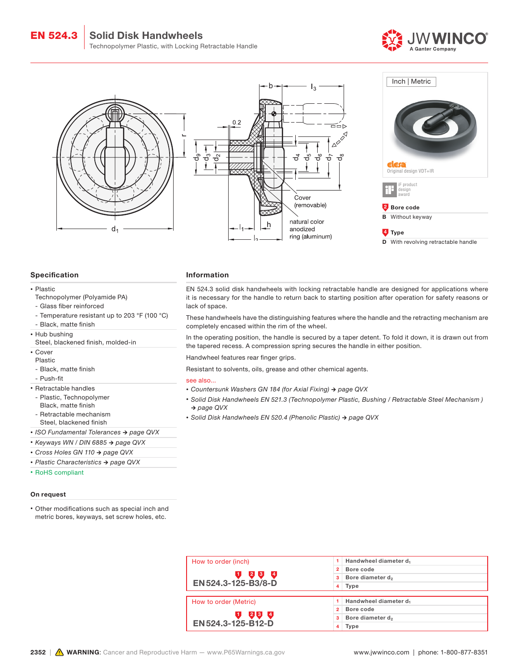







# 4 Type

D With revolving retractable handle

## Specification

#### • Plastic

- Technopolymer (Polyamide PA)
- Glass fiber reinforced
- Temperature resistant up to 203 °F (100 °C)
- Black, matte finish
- Hub bushing
- Steel, blackened finish, molded-in
- Cover
- Plastic
- Black, matte finish
- Push-fit
- Retractable handles
- Plastic, Technopolymer
- Black, matte finish
- Retractable mechanism Steel, blackened finish
- *• ISO Fundamental Tolerances → page QVX*
- *• Keyways WN / DIN 6885 → page QVX*
- *• Cross Holes GN 110 → page QVX*
- *• Plastic Characteristics → page QVX*
- RoHS compliant

### On request

• Other modifications such as special inch and metric bores, keyways, set screw holes, etc.

#### Information

EN 524.3 solid disk handwheels with locking retractable handle are designed for applications where it is necessary for the handle to return back to starting position after operation for safety reasons or lack of space.

These handwheels have the distinguishing features where the handle and the retracting mechanism are completely encased within the rim of the wheel.

In the operating position, the handle is secured by a taper detent. To fold it down, it is drawn out from the tapered recess. A compression spring secures the handle in either position.

Handwheel features rear finger grips.

Resistant to solvents, oils, grease and other chemical agents.

#### see also...

- *• Countersunk Washers GN 184 (for Axial Fixing) → page QVX*
- *• Solid Disk Handwheels EN 521.3 (Technopolymer Plastic, Bushing / Retractable Steel Mechanism ) → page QVX*
- *• Solid Disk Handwheels EN 520.4 (Phenolic Plastic) → page QVX*

| How to order (inch)   | Handwheel diameter d<br>1.        |  |  |  |  |
|-----------------------|-----------------------------------|--|--|--|--|
|                       | Bore code<br>$\overline{2}$       |  |  |  |  |
| $2^{8}$<br>$\sqrt{4}$ | Bore diameter d <sub>2</sub><br>3 |  |  |  |  |
| EN 524.3-125-B3/8-D   | Type<br>4                         |  |  |  |  |
|                       |                                   |  |  |  |  |
| How to order (Metric) | 1 Handwheel diameter $d_1$        |  |  |  |  |
|                       | Bore code<br>$\overline{2}$       |  |  |  |  |
| 234                   | Bore diameter d <sub>2</sub><br>3 |  |  |  |  |
| EN 524.3-125-B12-D    | 4<br>Type                         |  |  |  |  |